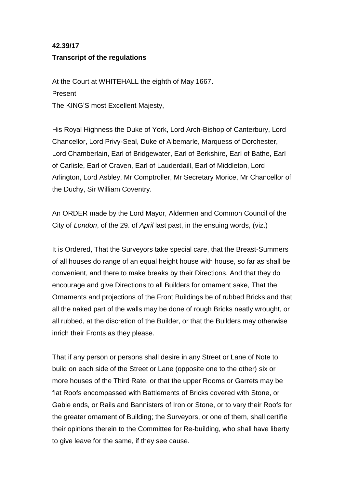## **42.39/17**

## **Transcript of the regulations**

At the Court at WHITEHALL the eighth of May 1667. Present The KING'S most Excellent Majesty,

His Royal Highness the Duke of York, Lord Arch-Bishop of Canterbury, Lord Chancellor, Lord Privy-Seal, Duke of Albemarle, Marquess of Dorchester, Lord Chamberlain, Earl of Bridgewater, Earl of Berkshire, Earl of Bathe, Earl of Carlisle, Earl of Craven, Earl of Lauderdaill, Earl of Middleton, Lord Arlington, Lord Asbley, Mr Comptroller, Mr Secretary Morice, Mr Chancellor of the Duchy, Sir William Coventry.

An ORDER made by the Lord Mayor, Aldermen and Common Council of the City of *London*, of the 29. of *April* last past, in the ensuing words, (viz.)

It is Ordered, That the Surveyors take special care, that the Breast-Summers of all houses do range of an equal height house with house, so far as shall be convenient, and there to make breaks by their Directions. And that they do encourage and give Directions to all Builders for ornament sake, That the Ornaments and projections of the Front Buildings be of rubbed Bricks and that all the naked part of the walls may be done of rough Bricks neatly wrought, or all rubbed, at the discretion of the Builder, or that the Builders may otherwise inrich their Fronts as they please.

That if any person or persons shall desire in any Street or Lane of Note to build on each side of the Street or Lane (opposite one to the other) six or more houses of the Third Rate, or that the upper Rooms or Garrets may be flat Roofs encompassed with Battlements of Bricks covered with Stone, or Gable ends, or Rails and Bannisters of Iron or Stone, or to vary their Roofs for the greater ornament of Building; the Surveyors, or one of them, shall certifie their opinions therein to the Committee for Re-building, who shall have liberty to give leave for the same, if they see cause.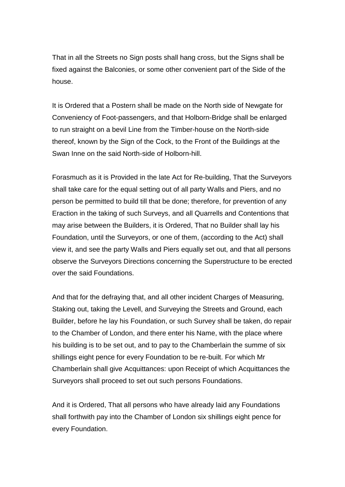That in all the Streets no Sign posts shall hang cross, but the Signs shall be fixed against the Balconies, or some other convenient part of the Side of the house.

It is Ordered that a Postern shall be made on the North side of Newgate for Conveniency of Foot-passengers, and that Holborn-Bridge shall be enlarged to run straight on a bevil Line from the Timber-house on the North-side thereof, known by the Sign of the Cock, to the Front of the Buildings at the Swan Inne on the said North-side of Holborn-hill.

Forasmuch as it is Provided in the late Act for Re-building, That the Surveyors shall take care for the equal setting out of all party Walls and Piers, and no person be permitted to build till that be done; therefore, for prevention of any Eraction in the taking of such Surveys, and all Quarrells and Contentions that may arise between the Builders, it is Ordered, That no Builder shall lay his Foundation, until the Surveyors, or one of them, (according to the Act) shall view it, and see the party Walls and Piers equally set out, and that all persons observe the Surveyors Directions concerning the Superstructure to be erected over the said Foundations.

And that for the defraying that, and all other incident Charges of Measuring, Staking out, taking the Levell, and Surveying the Streets and Ground, each Builder, before he lay his Foundation, or such Survey shall be taken, do repair to the Chamber of London, and there enter his Name, with the place where his building is to be set out, and to pay to the Chamberlain the summe of six shillings eight pence for every Foundation to be re-built. For which Mr Chamberlain shall give Acquittances: upon Receipt of which Acquittances the Surveyors shall proceed to set out such persons Foundations.

And it is Ordered, That all persons who have already laid any Foundations shall forthwith pay into the Chamber of London six shillings eight pence for every Foundation.